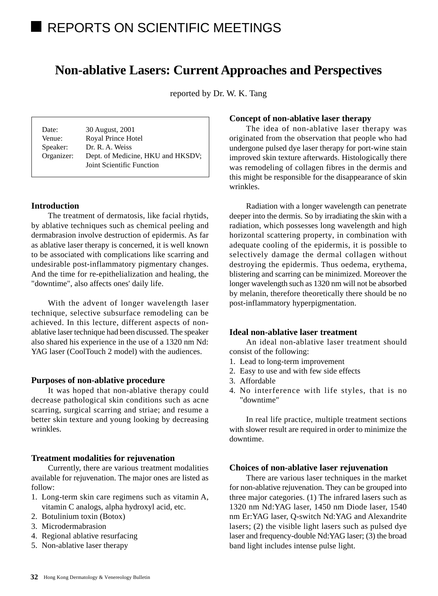# **Non-ablative Lasers: Current Approaches and Perspectives**

reported by Dr. W. K. Tang

Date: 30 August, 2001 Venue: Royal Prince Hotel Speaker: Dr. R. A. Weiss Organizer: Dept. of Medicine, HKU and HKSDV; Joint Scientific Function

### **Introduction**

The treatment of dermatosis, like facial rhytids, by ablative techniques such as chemical peeling and dermabrasion involve destruction of epidermis. As far as ablative laser therapy is concerned, it is well known to be associated with complications like scarring and undesirable post-inflammatory pigmentary changes. And the time for re-epithelialization and healing, the "downtime", also affects ones' daily life.

With the advent of longer wavelength laser technique, selective subsurface remodeling can be achieved. In this lecture, different aspects of nonablative laser technique had been discussed. The speaker also shared his experience in the use of a 1320 nm Nd: YAG laser (CoolTouch 2 model) with the audiences.

#### **Purposes of non-ablative procedure**

It was hoped that non-ablative therapy could decrease pathological skin conditions such as acne scarring, surgical scarring and striae; and resume a better skin texture and young looking by decreasing wrinkles.

#### **Treatment modalities for rejuvenation**

Currently, there are various treatment modalities available for rejuvenation. The major ones are listed as follow:

- 1. Long-term skin care regimens such as vitamin A, vitamin C analogs, alpha hydroxyl acid, etc.
- 2. Botulinium toxin (Botox)
- 3. Microdermabrasion
- 4. Regional ablative resurfacing
- 5. Non-ablative laser therapy

#### **Concept of non-ablative laser therapy**

The idea of non-ablative laser therapy was originated from the observation that people who had undergone pulsed dye laser therapy for port-wine stain improved skin texture afterwards. Histologically there was remodeling of collagen fibres in the dermis and this might be responsible for the disappearance of skin wrinkles.

Radiation with a longer wavelength can penetrate deeper into the dermis. So by irradiating the skin with a radiation, which possesses long wavelength and high horizontal scattering property, in combination with adequate cooling of the epidermis, it is possible to selectively damage the dermal collagen without destroying the epidermis. Thus oedema, erythema, blistering and scarring can be minimized. Moreover the longer wavelength such as 1320 nm will not be absorbed by melanin, therefore theoretically there should be no post-inflammatory hyperpigmentation.

## **Ideal non-ablative laser treatment**

An ideal non-ablative laser treatment should consist of the following:

- 1. Lead to long-term improvement
- 2. Easy to use and with few side effects
- 3. Affordable
- 4. No interference with life styles, that is no "downtime"

In real life practice, multiple treatment sections with slower result are required in order to minimize the downtime.

### **Choices of non-ablative laser rejuvenation**

There are various laser techniques in the market for non-ablative rejuvenation. They can be grouped into three major categories. (1) The infrared lasers such as 1320 nm Nd:YAG laser, 1450 nm Diode laser, 1540 nm Er:YAG laser, Q-switch Nd:YAG and Alexandrite lasers; (2) the visible light lasers such as pulsed dye laser and frequency-double Nd:YAG laser; (3) the broad band light includes intense pulse light.